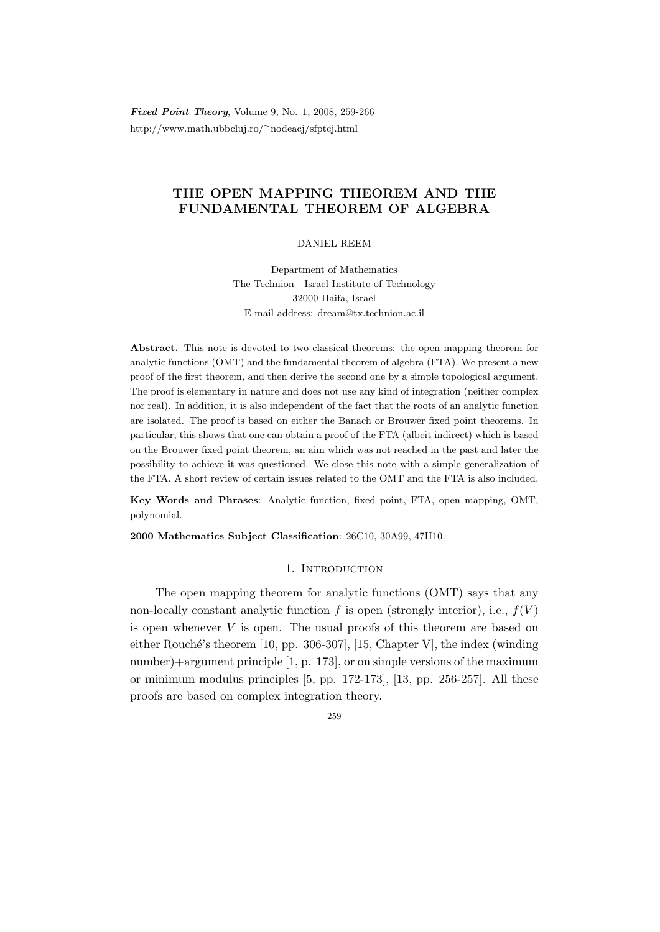**Fixed Point Theory, Volume 9, No. 1, 2008, 259-266** http://www.math.ubbcluj.ro/<sup>∼</sup>nodeacj/sfptcj.html

# THE OPEN MAPPING THEOREM AND THE FUNDAMENTAL THEOREM OF ALGEBRA

### DANIEL REEM

Department of Mathematics The Technion - Israel Institute of Technology 32000 Haifa, Israel E-mail address: dream@tx.technion.ac.il

Abstract. This note is devoted to two classical theorems: the open mapping theorem for analytic functions (OMT) and the fundamental theorem of algebra (FTA). We present a new proof of the first theorem, and then derive the second one by a simple topological argument. The proof is elementary in nature and does not use any kind of integration (neither complex nor real). In addition, it is also independent of the fact that the roots of an analytic function are isolated. The proof is based on either the Banach or Brouwer fixed point theorems. In particular, this shows that one can obtain a proof of the FTA (albeit indirect) which is based on the Brouwer fixed point theorem, an aim which was not reached in the past and later the possibility to achieve it was questioned. We close this note with a simple generalization of the FTA. A short review of certain issues related to the OMT and the FTA is also included.

Key Words and Phrases: Analytic function, fixed point, FTA, open mapping, OMT, polynomial.

2000 Mathematics Subject Classification: 26C10, 30A99, 47H10.

## 1. INTRODUCTION

The open mapping theorem for analytic functions (OMT) says that any non-locally constant analytic function f is open (strongly interior), i.e.,  $f(V)$ is open whenever  $V$  is open. The usual proofs of this theorem are based on either Rouché's theorem  $[10, pp. 306-307]$ ,  $[15, Chapter V]$ , the index (winding number)+argument principle [1, p. 173], or on simple versions of the maximum or minimum modulus principles [5, pp. 172-173], [13, pp. 256-257]. All these proofs are based on complex integration theory.

259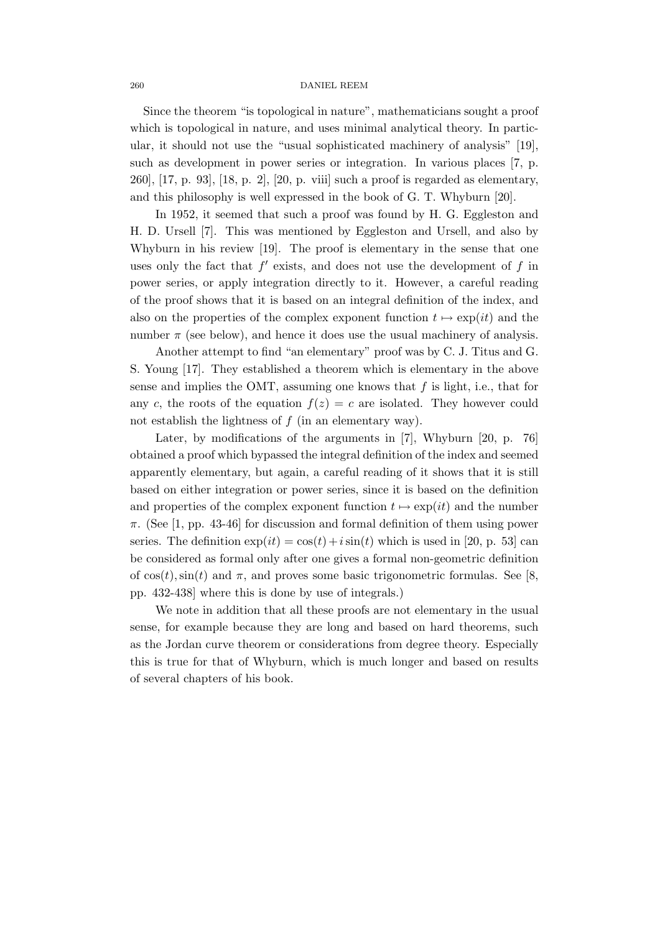#### 260 DANIEL REEM

Since the theorem "is topological in nature", mathematicians sought a proof which is topological in nature, and uses minimal analytical theory. In particular, it should not use the "usual sophisticated machinery of analysis" [19], such as development in power series or integration. In various places [7, p. 260], [17, p. 93], [18, p. 2], [20, p. viii] such a proof is regarded as elementary, and this philosophy is well expressed in the book of G. T. Whyburn [20].

In 1952, it seemed that such a proof was found by H. G. Eggleston and H. D. Ursell [7]. This was mentioned by Eggleston and Ursell, and also by Whyburn in his review [19]. The proof is elementary in the sense that one uses only the fact that  $f'$  exists, and does not use the development of  $f$  in power series, or apply integration directly to it. However, a careful reading of the proof shows that it is based on an integral definition of the index, and also on the properties of the complex exponent function  $t \mapsto \exp(it)$  and the number  $\pi$  (see below), and hence it does use the usual machinery of analysis.

Another attempt to find "an elementary" proof was by C. J. Titus and G. S. Young [17]. They established a theorem which is elementary in the above sense and implies the OMT, assuming one knows that  $f$  is light, i.e., that for any c, the roots of the equation  $f(z) = c$  are isolated. They however could not establish the lightness of  $f$  (in an elementary way).

Later, by modifications of the arguments in [7], Whyburn [20, p. 76] obtained a proof which bypassed the integral definition of the index and seemed apparently elementary, but again, a careful reading of it shows that it is still based on either integration or power series, since it is based on the definition and properties of the complex exponent function  $t \mapsto \exp(it)$  and the number  $\pi$ . (See [1, pp. 43-46] for discussion and formal definition of them using power series. The definition  $\exp(it) = \cos(t) + i\sin(t)$  which is used in [20, p. 53] can be considered as formal only after one gives a formal non-geometric definition of  $cos(t)$ ,  $sin(t)$  and  $\pi$ , and proves some basic trigonometric formulas. See [8, pp. 432-438] where this is done by use of integrals.)

We note in addition that all these proofs are not elementary in the usual sense, for example because they are long and based on hard theorems, such as the Jordan curve theorem or considerations from degree theory. Especially this is true for that of Whyburn, which is much longer and based on results of several chapters of his book.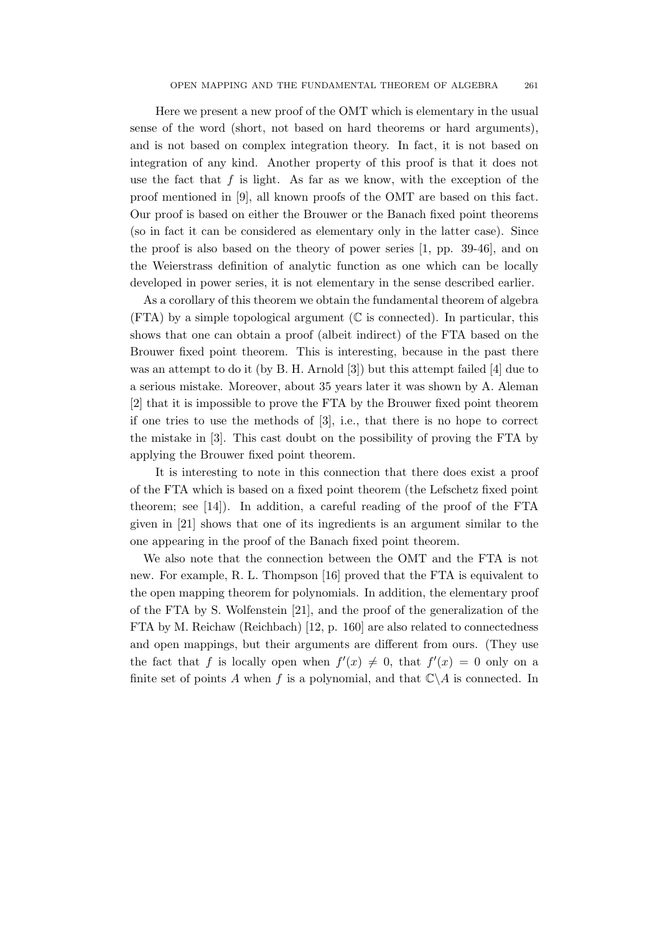Here we present a new proof of the OMT which is elementary in the usual sense of the word (short, not based on hard theorems or hard arguments), and is not based on complex integration theory. In fact, it is not based on integration of any kind. Another property of this proof is that it does not use the fact that  $f$  is light. As far as we know, with the exception of the proof mentioned in [9], all known proofs of the OMT are based on this fact. Our proof is based on either the Brouwer or the Banach fixed point theorems (so in fact it can be considered as elementary only in the latter case). Since the proof is also based on the theory of power series [1, pp. 39-46], and on the Weierstrass definition of analytic function as one which can be locally developed in power series, it is not elementary in the sense described earlier.

As a corollary of this theorem we obtain the fundamental theorem of algebra  $(FTA)$  by a simple topological argument ( $\mathbb C$  is connected). In particular, this shows that one can obtain a proof (albeit indirect) of the FTA based on the Brouwer fixed point theorem. This is interesting, because in the past there was an attempt to do it (by B. H. Arnold [3]) but this attempt failed [4] due to a serious mistake. Moreover, about 35 years later it was shown by A. Aleman [2] that it is impossible to prove the FTA by the Brouwer fixed point theorem if one tries to use the methods of [3], i.e., that there is no hope to correct the mistake in [3]. This cast doubt on the possibility of proving the FTA by applying the Brouwer fixed point theorem.

It is interesting to note in this connection that there does exist a proof of the FTA which is based on a fixed point theorem (the Lefschetz fixed point theorem; see [14]). In addition, a careful reading of the proof of the FTA given in [21] shows that one of its ingredients is an argument similar to the one appearing in the proof of the Banach fixed point theorem.

We also note that the connection between the OMT and the FTA is not new. For example, R. L. Thompson [16] proved that the FTA is equivalent to the open mapping theorem for polynomials. In addition, the elementary proof of the FTA by S. Wolfenstein [21], and the proof of the generalization of the FTA by M. Reichaw (Reichbach) [12, p. 160] are also related to connectedness and open mappings, but their arguments are different from ours. (They use the fact that f is locally open when  $f'(x) \neq 0$ , that  $f'(x) = 0$  only on a finite set of points A when f is a polynomial, and that  $\mathbb{C}\backslash A$  is connected. In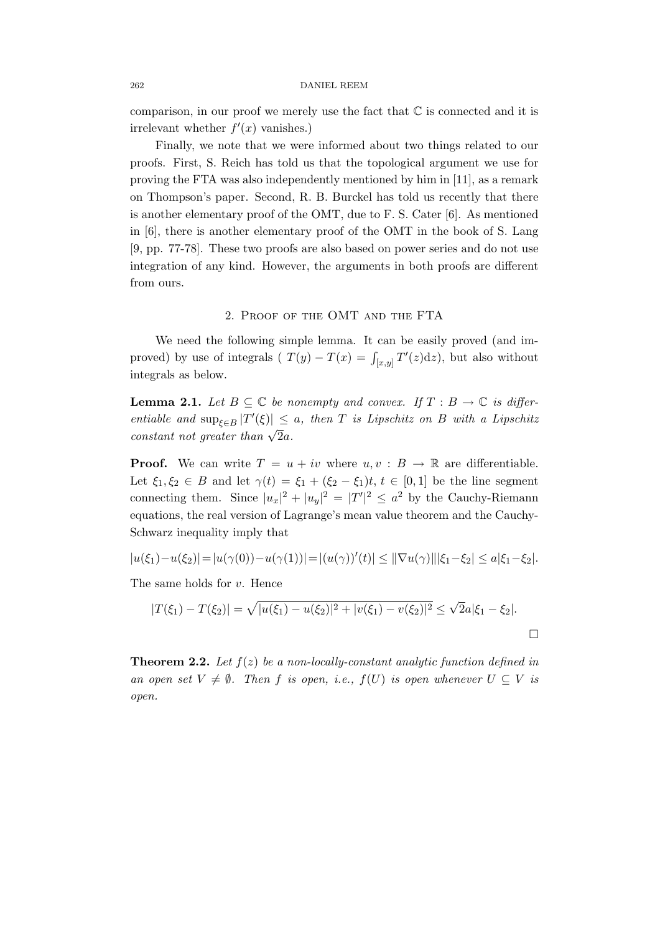262 DANIEL REEM

comparison, in our proof we merely use the fact that  $\mathbb C$  is connected and it is irrelevant whether  $f'(x)$  vanishes.)

Finally, we note that we were informed about two things related to our proofs. First, S. Reich has told us that the topological argument we use for proving the FTA was also independently mentioned by him in [11], as a remark on Thompson's paper. Second, R. B. Burckel has told us recently that there is another elementary proof of the OMT, due to F. S. Cater [6]. As mentioned in [6], there is another elementary proof of the OMT in the book of S. Lang [9, pp. 77-78]. These two proofs are also based on power series and do not use integration of any kind. However, the arguments in both proofs are different from ours.

## 2. Proof of the OMT and the FTA

We need the following simple lemma. It can be easily proved (and improved) by use of integrals ( $T(y) - T(x) = \int_{[x,y]} T'(z) dz$ ), but also without integrals as below.

**Lemma 2.1.** Let  $B \subseteq \mathbb{C}$  be nonempty and convex. If  $T : B \to \mathbb{C}$  is differentiable and  $\sup_{\xi \in B} |T'(\xi)| \leq a$ , then T is Lipschitz on B with a Lipschitz constant not greater than  $\sqrt{2}a$ .

**Proof.** We can write  $T = u + iv$  where  $u, v : B \to \mathbb{R}$  are differentiable. Let  $\xi_1, \xi_2 \in B$  and let  $\gamma(t) = \xi_1 + (\xi_2 - \xi_1)t, t \in [0, 1]$  be the line segment connecting them. Since  $|u_x|^2 + |u_y|^2 = |T'|^2 \leq a^2$  by the Cauchy-Riemann equations, the real version of Lagrange's mean value theorem and the Cauchy-Schwarz inequality imply that

$$
|u(\xi_1)-u(\xi_2)|=|u(\gamma(0))-u(\gamma(1))|=|(u(\gamma))'(t)|\leq \|\nabla u(\gamma)\||\xi_1-\xi_2|\leq a|\xi_1-\xi_2|.
$$

The same holds for v. Hence

$$
|T(\xi_1) - T(\xi_2)| = \sqrt{|u(\xi_1) - u(\xi_2)|^2 + |v(\xi_1) - v(\xi_2)|^2} \le \sqrt{2}a|\xi_1 - \xi_2|.
$$

**Theorem 2.2.** Let  $f(z)$  be a non-locally-constant analytic function defined in an open set  $V \neq \emptyset$ . Then f is open, i.e.,  $f(U)$  is open whenever  $U \subseteq V$  is open.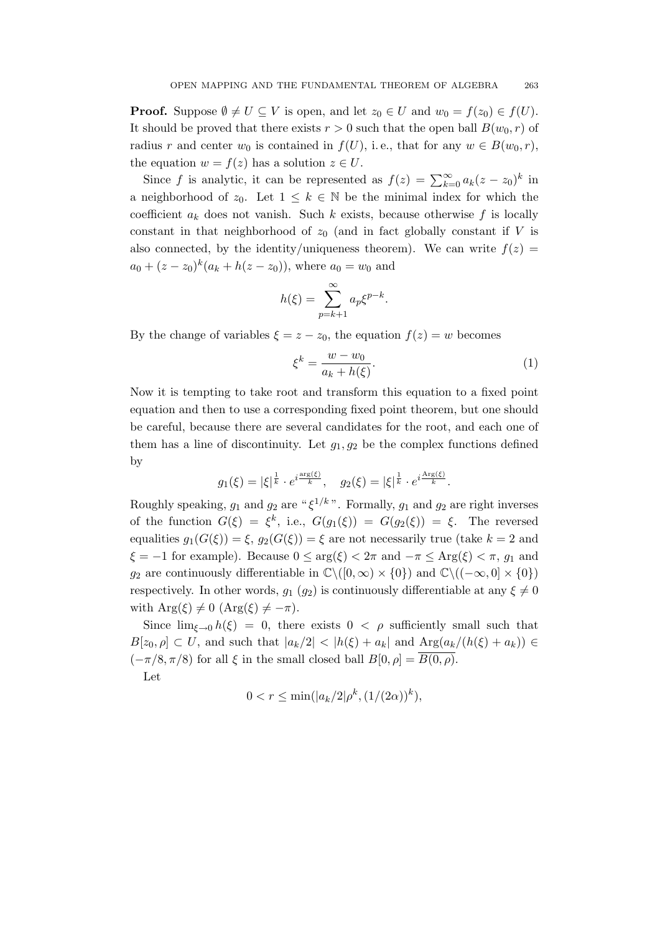**Proof.** Suppose  $\emptyset \neq U \subseteq V$  is open, and let  $z_0 \in U$  and  $w_0 = f(z_0) \in f(U)$ . It should be proved that there exists  $r > 0$  such that the open ball  $B(w_0, r)$  of radius r and center  $w_0$  is contained in  $f(U)$ , i.e., that for any  $w \in B(w_0, r)$ , the equation  $w = f(z)$  has a solution  $z \in U$ .

Since f is analytic, it can be represented as  $f(z) = \sum_{k=0}^{\infty} a_k(z - z_0)^k$  in a neighborhood of  $z_0$ . Let  $1 \leq k \in \mathbb{N}$  be the minimal index for which the coefficient  $a_k$  does not vanish. Such k exists, because otherwise f is locally constant in that neighborhood of  $z_0$  (and in fact globally constant if V is also connected, by the identity/uniqueness theorem). We can write  $f(z) =$  $a_0 + (z - z_0)^k (a_k + h(z - z_0))$ , where  $a_0 = w_0$  and

$$
h(\xi) = \sum_{p=k+1}^{\infty} a_p \xi^{p-k}.
$$

By the change of variables  $\xi = z - z_0$ , the equation  $f(z) = w$  becomes

$$
\xi^k = \frac{w - w_0}{a_k + h(\xi)}.\tag{1}
$$

Now it is tempting to take root and transform this equation to a fixed point equation and then to use a corresponding fixed point theorem, but one should be careful, because there are several candidates for the root, and each one of them has a line of discontinuity. Let  $g_1, g_2$  be the complex functions defined by

$$
g_1(\xi) = |\xi|^{\frac{1}{k}} \cdot e^{i\frac{\arg(\xi)}{k}}, \quad g_2(\xi) = |\xi|^{\frac{1}{k}} \cdot e^{i\frac{\text{Arg}(\xi)}{k}}.
$$

Roughly speaking,  $g_1$  and  $g_2$  are " $\xi^{1/k}$ ". Formally,  $g_1$  and  $g_2$  are right inverses of the function  $G(\xi) = \xi^k$ , i.e.,  $G(g_1(\xi)) = G(g_2(\xi)) = \xi$ . The reversed equalities  $g_1(G(\xi)) = \xi$ ,  $g_2(G(\xi)) = \xi$  are not necessarily true (take  $k = 2$  and  $\xi = -1$  for example). Because  $0 \le \arg(\xi) < 2\pi$  and  $-\pi \le \text{Arg}(\xi) < \pi$ ,  $g_1$  and g<sub>2</sub> are continuously differentiable in  $\mathbb{C}\setminus([0,\infty)\times\{0\})$  and  $\mathbb{C}\setminus((-\infty,0]\times\{0\})$ respectively. In other words,  $g_1$  ( $g_2$ ) is continuously differentiable at any  $\xi \neq 0$ with  $Arg(\xi) \neq 0$   $(Arg(\xi) \neq -\pi)$ .

Since  $\lim_{\xi \to 0} h(\xi) = 0$ , there exists  $0 < \rho$  sufficiently small such that  $B[z_0, \rho] \subset U$ , and such that  $|a_k/2| < |h(\xi) + a_k|$  and  $\text{Arg}(a_k/(h(\xi) + a_k)) \in$  $(-\pi/8, \pi/8)$  for all  $\xi$  in the small closed ball  $B[0, \rho] = \overline{B(0, \rho)}$ . Let

$$
0 < r \le \min(|a_k/2|\rho^k, (1/(2\alpha))^k),
$$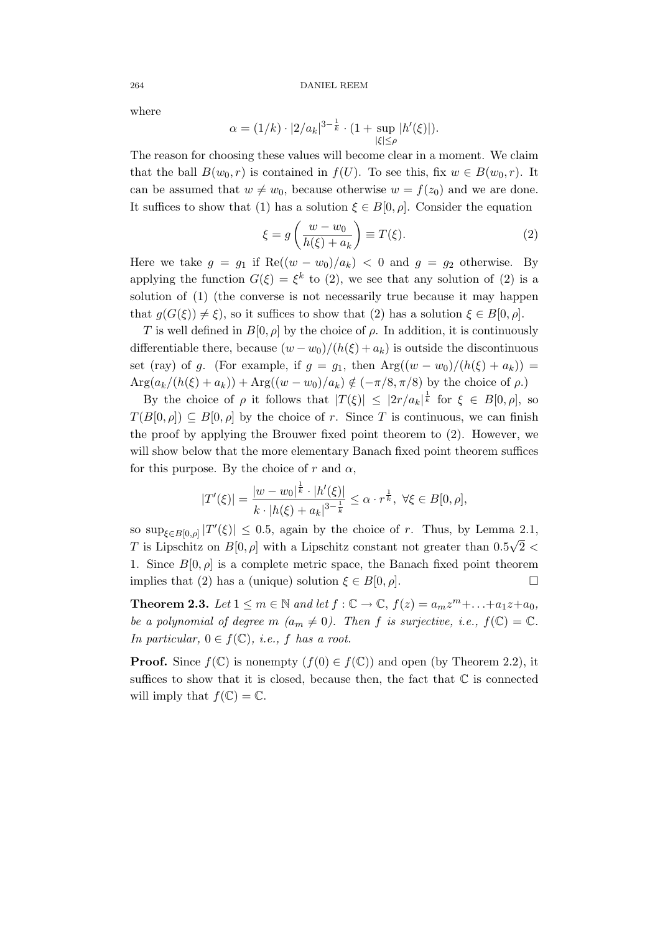where

$$
\alpha = (1/k) \cdot |2/a_k|^{3 - \frac{1}{k}} \cdot (1 + \sup_{|\xi| \le \rho} |h'(\xi)|).
$$

The reason for choosing these values will become clear in a moment. We claim that the ball  $B(w_0, r)$  is contained in  $f(U)$ . To see this, fix  $w \in B(w_0, r)$ . It can be assumed that  $w \neq w_0$ , because otherwise  $w = f(z_0)$  and we are done. It suffices to show that (1) has a solution  $\xi \in B[0, \rho]$ . Consider the equation

$$
\xi = g\left(\frac{w - w_0}{h(\xi) + a_k}\right) \equiv T(\xi). \tag{2}
$$

Here we take  $g = g_1$  if  $\text{Re}((w - w_0)/a_k) < 0$  and  $g = g_2$  otherwise. By applying the function  $G(\xi) = \xi^k$  to (2), we see that any solution of (2) is a solution of (1) (the converse is not necessarily true because it may happen that  $g(G(\xi)) \neq \xi$ , so it suffices to show that (2) has a solution  $\xi \in B[0, \rho]$ .

T is well defined in  $B[0, \rho]$  by the choice of  $\rho$ . In addition, it is continuously differentiable there, because  $(w - w_0)/(h(\xi) + a_k)$  is outside the discontinuous set (ray) of g. (For example, if  $g = g_1$ , then  $Arg((w - w_0)/(h(\xi) + a_k))$  $Arg(a_k/(h(\xi) + a_k)) + Arg((w - w_0)/a_k) \notin (-\pi/8, \pi/8)$  by the choice of  $\rho$ .)

By the choice of  $\rho$  it follows that  $|T(\xi)| \leq |2r/a_k|^{\frac{1}{k}}$  for  $\xi \in B[0,\rho]$ , so  $T(B[0, \rho]) \subseteq B[0, \rho]$  by the choice of r. Since T is continuous, we can finish the proof by applying the Brouwer fixed point theorem to (2). However, we will show below that the more elementary Banach fixed point theorem suffices for this purpose. By the choice of r and  $\alpha$ ,

$$
|T'(\xi)| = \frac{|w - w_0|^{\frac{1}{k}} \cdot |h'(\xi)|}{k \cdot |h(\xi) + a_k|^{3 - \frac{1}{k}}} \le \alpha \cdot r^{\frac{1}{k}}, \ \forall \xi \in B[0, \rho],
$$

so  $\sup_{\xi \in B[0,\rho]} |T'(\xi)| \leq 0.5$ , again by the choice of r. Thus, by Lemma 2.1, T is Lipschitz on  $B[0, \rho]$  with a Lipschitz constant not greater than  $0.5\sqrt{2}$ 1. Since  $B[0, \rho]$  is a complete metric space, the Banach fixed point theorem implies that (2) has a (unique) solution  $\xi \in B[0, \rho]$ .

**Theorem 2.3.** Let  $1 \le m \in \mathbb{N}$  and let  $f : \mathbb{C} \to \mathbb{C}$ ,  $f(z) = a_m z^m + \ldots + a_1 z + a_0$ , be a polynomial of degree m  $(a_m \neq 0)$ . Then f is surjective, i.e.,  $f(\mathbb{C}) = \mathbb{C}$ . In particular,  $0 \in f(\mathbb{C})$ , *i.e.*, *f* has a root.

**Proof.** Since  $f(\mathbb{C})$  is nonempty  $(f(0) \in f(\mathbb{C}))$  and open (by Theorem 2.2), it suffices to show that it is closed, because then, the fact that  $\mathbb C$  is connected will imply that  $f(\mathbb{C}) = \mathbb{C}$ .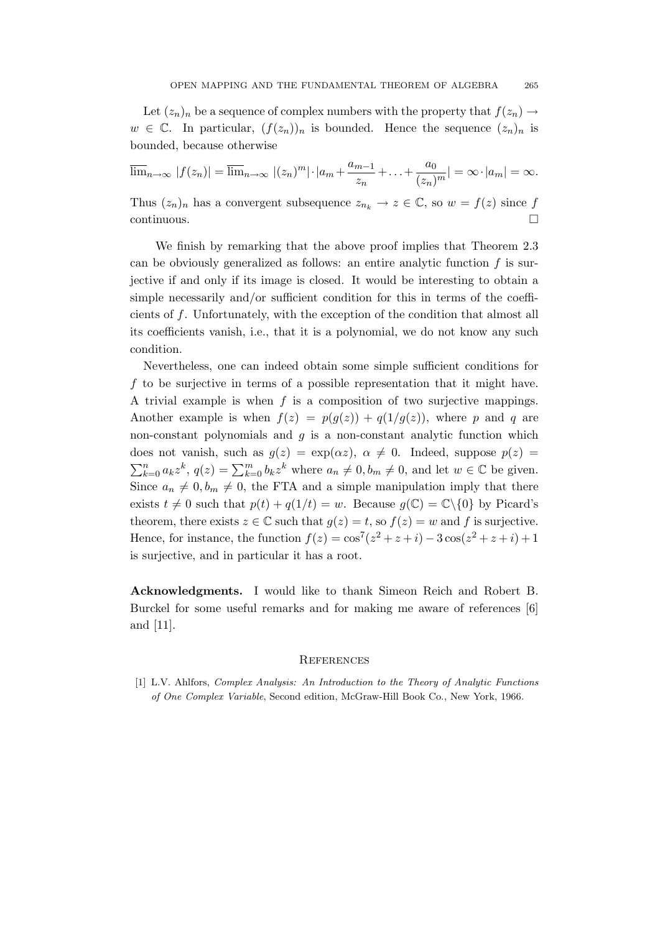Let  $(z_n)_n$  be a sequence of complex numbers with the property that  $f(z_n) \to$  $w \in \mathbb{C}$ . In particular,  $(f(z_n))_n$  is bounded. Hence the sequence  $(z_n)_n$  is bounded, because otherwise

 $\overline{\lim}_{n\to\infty} |f(z_n)| = \overline{\lim}_{n\to\infty} |(z_n)^m| \cdot |a_m + \frac{a_{m-1}}{a_m}|$  $\frac{m-1}{z_n} + \ldots + \frac{a_0}{(z_n)}$  $\frac{a_0}{(z_n)^m}| = \infty \cdot |a_m| = \infty.$ 

Thus  $(z_n)_n$  has a convergent subsequence  $z_{n_k} \to z \in \mathbb{C}$ , so  $w = f(z)$  since f continuous.

We finish by remarking that the above proof implies that Theorem 2.3 can be obviously generalized as follows: an entire analytic function  $f$  is surjective if and only if its image is closed. It would be interesting to obtain a simple necessarily and/or sufficient condition for this in terms of the coefficients of f. Unfortunately, with the exception of the condition that almost all its coefficients vanish, i.e., that it is a polynomial, we do not know any such condition.

Nevertheless, one can indeed obtain some simple sufficient conditions for f to be surjective in terms of a possible representation that it might have. A trivial example is when  $f$  is a composition of two surjective mappings. Another example is when  $f(z) = p(q(z)) + q(1/q(z))$ , where p and q are non-constant polynomials and  $q$  is a non-constant analytic function which does not vanish, such as  $g(z) = \exp(\alpha z)$ ,  $\alpha \neq 0$ . Indeed, suppose  $p(z) =$  $\sum_{k=0}^{n} a_k z^k$ ,  $q(z) = \sum_{k=0}^{m} b_k z^k$  where  $a_n \neq 0$ ,  $b_m \neq 0$ , and let  $w \in \mathbb{C}$  be given. Since  $a_n \neq 0, b_m \neq 0$ , the FTA and a simple manipulation imply that there exists  $t \neq 0$  such that  $p(t) + q(1/t) = w$ . Because  $q(\mathbb{C}) = \mathbb{C}\setminus\{0\}$  by Picard's theorem, there exists  $z \in \mathbb{C}$  such that  $g(z) = t$ , so  $f(z) = w$  and f is surjective. Hence, for instance, the function  $f(z) = \cos^7(z^2 + z + i) - 3\cos(z^2 + z + i) + 1$ is surjective, and in particular it has a root.

Acknowledgments. I would like to thank Simeon Reich and Robert B. Burckel for some useful remarks and for making me aware of references [6] and [11].

### **REFERENCES**

[1] L.V. Ahlfors, Complex Analysis: An Introduction to the Theory of Analytic Functions of One Complex Variable, Second edition, McGraw-Hill Book Co., New York, 1966.